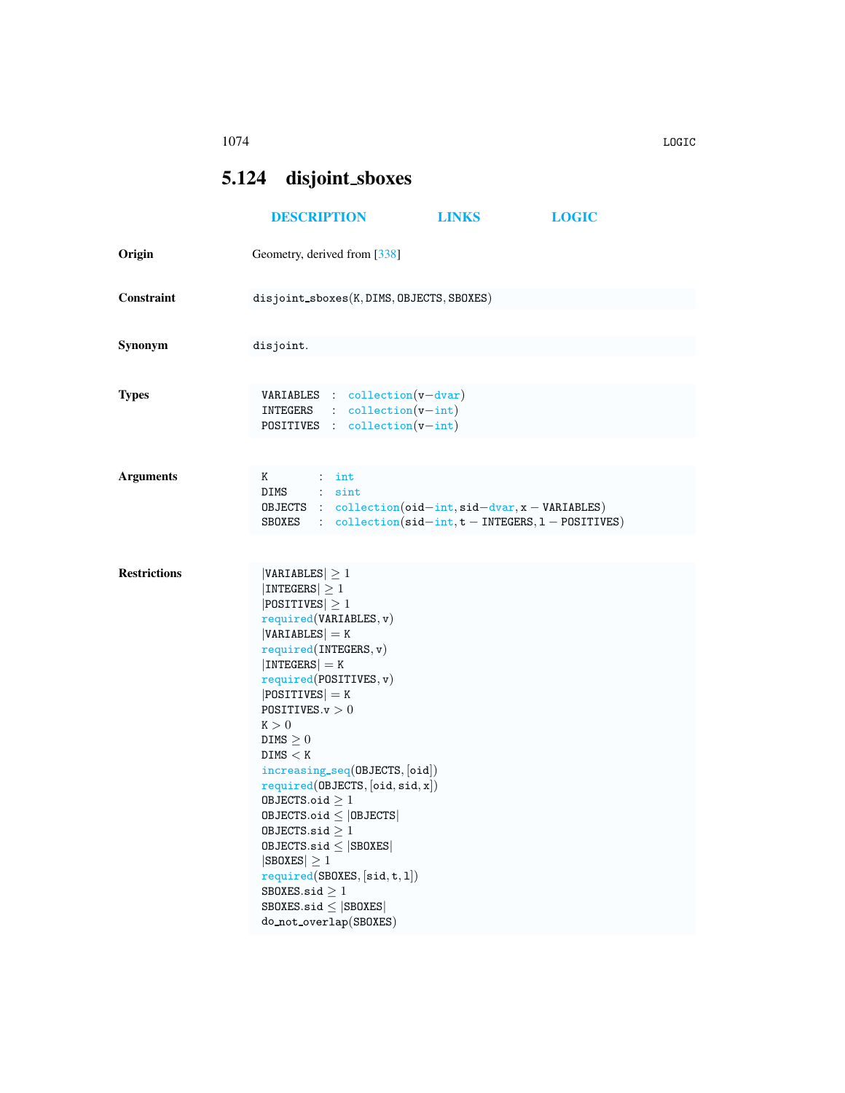## <span id="page-0-0"></span>5.124 disjoint sboxes

|                     | <b>DESCRIPTION</b>                                                                                                                                                                                                                                                                                                                                                                                                                                                                                                                                                                                | <b>LINKS</b> | <b>LOGIC</b> |
|---------------------|---------------------------------------------------------------------------------------------------------------------------------------------------------------------------------------------------------------------------------------------------------------------------------------------------------------------------------------------------------------------------------------------------------------------------------------------------------------------------------------------------------------------------------------------------------------------------------------------------|--------------|--------------|
| Origin              | Geometry, derived from [338]                                                                                                                                                                                                                                                                                                                                                                                                                                                                                                                                                                      |              |              |
| Constraint          | disjoint_sboxes(K,DIMS,OBJECTS,SBOXES)                                                                                                                                                                                                                                                                                                                                                                                                                                                                                                                                                            |              |              |
| Synonym             | disjoint.                                                                                                                                                                                                                                                                                                                                                                                                                                                                                                                                                                                         |              |              |
| <b>Types</b>        | $VARIABLES : collection(v-dvar)$<br>$INTEGRS$ : $collection(v-int)$<br>POSITIVES : collection(v-int)                                                                                                                                                                                                                                                                                                                                                                                                                                                                                              |              |              |
| <b>Arguments</b>    | K<br>$\cdots$ : int<br>DIMS : sint<br>OBJECTS : $\text{collection}(\text{oid} - \text{int}, \text{sid} - \text{dvar}, x - \text{VARIABLES})$<br>SBOXES : $\text{collection}(\text{sid} - \text{int}, t - \text{INTERS}, 1 - \text{POSTTIVES})$                                                                                                                                                                                                                                                                                                                                                    |              |              |
| <b>Restrictions</b> | VARIABLES  > 1<br> INTEGERS  > 1<br>$ $ POSITIVES $ \geq 1$<br>required(VARIABLES, v)<br>$ VARIABLES $ = K<br>required(INTERS, v)<br>$ INTEGERS  = K$<br>required(POSTTIVES, v)<br>$ POSITIVES $ = K<br>POSITIVES. $v > 0$<br>K > 0<br>DIMS $\geq 0$<br>DIMS < K<br>increasing_seq(OBJECTS, [oid])<br>required(DBJECTS, [oid, sid, x])<br>OBJECTS.oid $\geq 1$<br>$0$ BJECTS.oid $\leq$  OBJECTS <br>OBJECTS.sid $\geq 1$<br>$0$ BJECTS.sid $\leq$  SB0XES <br>$ SBOKES  \geq 1$<br>required(SBOXES, [sid, t, 1])<br>SBOXES.sid $\geq 1$<br>$SBOKES.size \leq  SBOKES $<br>do_not_overlap(SBOXES) |              |              |

1074 LOGIC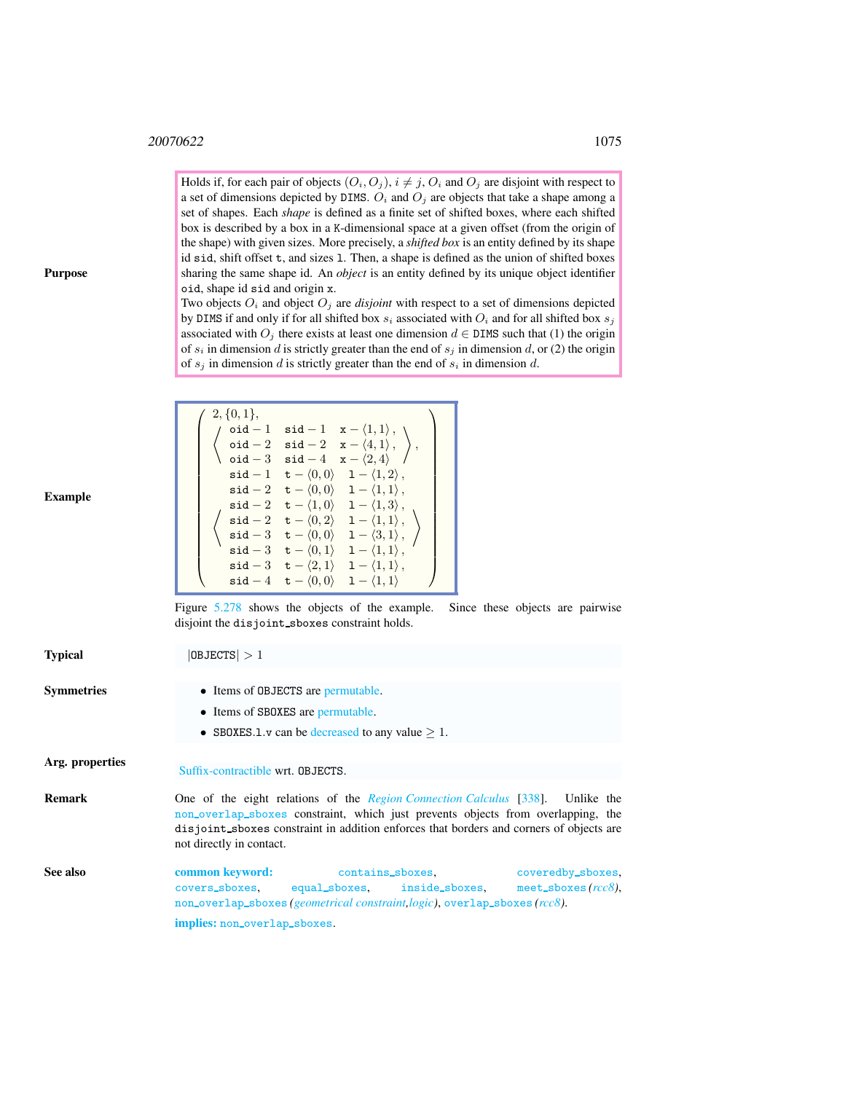$\sqrt{ }$ 

 $2, \{0,1\},\$ 

 $\begin{pmatrix}$  oid − 1 sid − 1 x −  $\langle 1, 1 \rangle$ ,  $\texttt{oid} - 2 \quad \texttt{sid} - 2 \quad \texttt{x} - \langle 4, 1 \rangle$ ,

Holds if, for each pair of objects  $(O_i, O_j)$ ,  $i \neq j$ ,  $O_i$  and  $O_j$  are disjoint with respect to a set of dimensions depicted by DIMS.  $O_i$  and  $O_j$  are objects that take a shape among a set of shapes. Each *shape* is defined as a finite set of shifted boxes, where each shifted box is described by a box in a K-dimensional space at a given offset (from the origin of the shape) with given sizes. More precisely, a *shifted box* is an entity defined by its shape id sid, shift offset t, and sizes l. Then, a shape is defined as the union of shifted boxes sharing the same shape id. An *object* is an entity defined by its unique object identifier oid, shape id sid and origin x.

Two objects  $O_i$  and object  $O_j$  are *disjoint* with respect to a set of dimensions depicted by DIMS if and only if for all shifted box  $s_i$  associated with  $O_i$  and for all shifted box  $s_j$ associated with  $O_j$  there exists at least one dimension  $d \in \text{DIMS}$  such that (1) the origin of  $s_i$  in dimension d is strictly greater than the end of  $s_j$  in dimension d, or (2) the origin of  $s_j$  in dimension d is strictly greater than the end of  $s_i$  in dimension d.

> $\setminus$ ,

 $\setminus$ 

| Example |
|---------|
|---------|

Purpose

| <b>Example</b>    | $\begin{pmatrix} 3\alpha & 1 & 3\alpha & 1 & x & 1, 2, \\ 3\alpha & -2 & 3\alpha & -2 & x - \langle 4, 1 \rangle \\ 3\alpha & -3 & 3\alpha & -4 & x - \langle 2, 4 \rangle \end{pmatrix}$ ,<br>$\left\{\begin{array}{rcl} \dot{\texttt{sid}}-1 & \texttt{t} - \langle 0,0 \rangle & 1 - \langle 1,2 \rangle, \\ \dot{\texttt{sid}}-2 & \texttt{t} - \langle 0,0 \rangle & 1 - \langle 1,1 \rangle, \\ \dot{\texttt{sid}}-2 & \texttt{t} - \langle 1,0 \rangle & 1 - \langle 1,3 \rangle, \\ \dot{\texttt{sid}}-2 & \texttt{t} - \langle 0,2 \rangle & 1 - \langle 1,1 \rangle, \\ \dot{\texttt{sid}}-3 & \texttt{t} - \langle 0,0 \rangle & 1 - \langle 3,1 \rangle, \\ \dot{\texttt{sid}}-$<br>$\mathsf{sid-3} \quad \mathsf{t}-\langle 2,1\rangle \quad 1-\langle 1,1\rangle\,,$<br>$\texttt{sid} - 4 \quad \texttt{t} - \langle 0, 0 \rangle \quad 1 - \langle 1, 1 \rangle$ |
|-------------------|---------------------------------------------------------------------------------------------------------------------------------------------------------------------------------------------------------------------------------------------------------------------------------------------------------------------------------------------------------------------------------------------------------------------------------------------------------------------------------------------------------------------------------------------------------------------------------------------------------------------------------------------------------------------------------------------------------------------------------------------------------------------------------------------------------------------------------------------------------------------------------|
|                   | Figure 5.278 shows the objects of the example.<br>Since these objects are pairwise<br>disjoint the disjoint sboxes constraint holds.                                                                                                                                                                                                                                                                                                                                                                                                                                                                                                                                                                                                                                                                                                                                            |
| <b>Typical</b>    | $ 0$ BJECTS $ >1$                                                                                                                                                                                                                                                                                                                                                                                                                                                                                                                                                                                                                                                                                                                                                                                                                                                               |
| <b>Symmetries</b> | • Items of OBJECTS are permutable.<br>• Items of SBOXES are permutable.<br>• SBOXES.1.v can be decreased to any value $> 1$ .                                                                                                                                                                                                                                                                                                                                                                                                                                                                                                                                                                                                                                                                                                                                                   |
| Arg. properties   | Suffix-contractible wrt. OBJECTS.                                                                                                                                                                                                                                                                                                                                                                                                                                                                                                                                                                                                                                                                                                                                                                                                                                               |
| <b>Remark</b>     | One of the eight relations of the <i>Region Connection Calculus</i> [338]. Unlike the<br>non_over1ap_sboxes constraint, which just prevents objects from overlapping, the<br>disjoint_sboxes constraint in addition enforces that borders and corners of objects are<br>not directly in contact.                                                                                                                                                                                                                                                                                                                                                                                                                                                                                                                                                                                |

<span id="page-1-0"></span>See also common keyword: contains\_sboxes, coveredby\_sboxes, covers sboxes, equal sboxes, inside sboxes, meet sboxes *(rcc8)*, non overlap sboxes *(geometrical constraint,logic)*, overlap sboxes *(rcc8)*. implies: non overlap sboxes.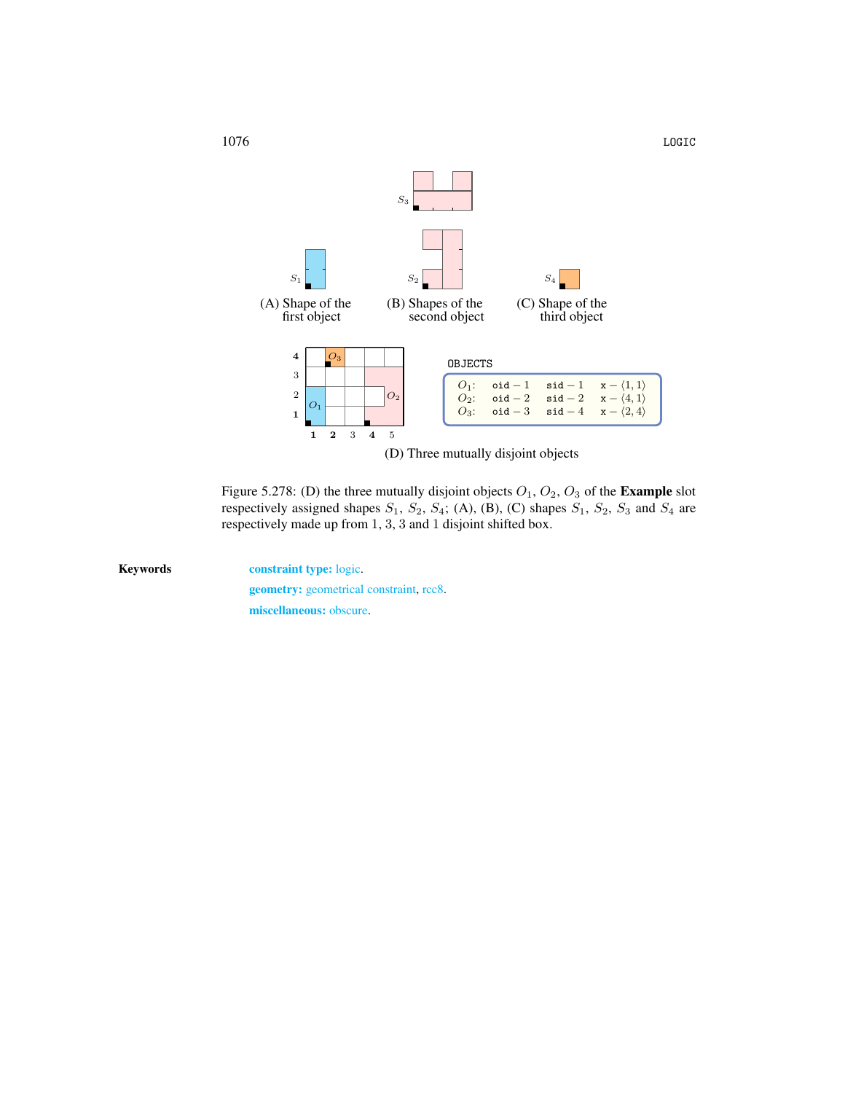

<span id="page-2-0"></span>Figure 5.278: (D) the three mutually disjoint objects  $O_1$ ,  $O_2$ ,  $O_3$  of the **Example** slot respectively assigned shapes  $S_1$ ,  $S_2$ ,  $S_4$ ; (A), (B), (C) shapes  $S_1$ ,  $S_2$ ,  $S_3$  and  $S_4$  are respectively made up from 1, 3, 3 and 1 disjoint shifted box.

Keywords constraint type: logic. geometry: geometrical constraint, rcc8. miscellaneous: obscure.